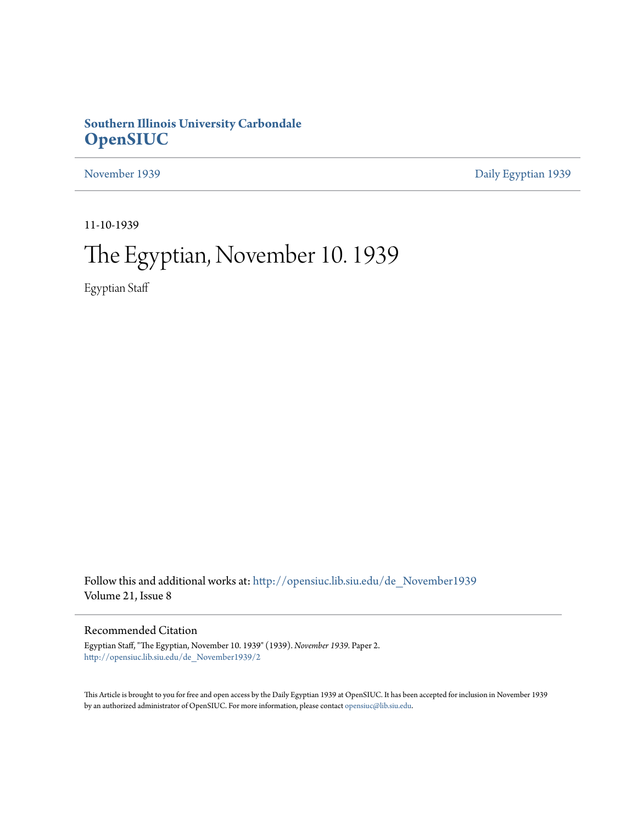## **Southern Illinois University Carbondale [OpenSIUC](http://opensiuc.lib.siu.edu?utm_source=opensiuc.lib.siu.edu%2Fde_November1939%2F2&utm_medium=PDF&utm_campaign=PDFCoverPages)**

[November 1939](http://opensiuc.lib.siu.edu/de_November1939?utm_source=opensiuc.lib.siu.edu%2Fde_November1939%2F2&utm_medium=PDF&utm_campaign=PDFCoverPages) [Daily Egyptian 1939](http://opensiuc.lib.siu.edu/de_1939?utm_source=opensiuc.lib.siu.edu%2Fde_November1939%2F2&utm_medium=PDF&utm_campaign=PDFCoverPages)

11-10-1939

# The Egyptian, November 10. 1939

Egyptian Staff

Follow this and additional works at: [http://opensiuc.lib.siu.edu/de\\_November1939](http://opensiuc.lib.siu.edu/de_November1939?utm_source=opensiuc.lib.siu.edu%2Fde_November1939%2F2&utm_medium=PDF&utm_campaign=PDFCoverPages) Volume 21, Issue 8

## Recommended Citation

Egyptian Staff, "The Egyptian, November 10. 1939" (1939). *November 1939.* Paper 2. [http://opensiuc.lib.siu.edu/de\\_November1939/2](http://opensiuc.lib.siu.edu/de_November1939/2?utm_source=opensiuc.lib.siu.edu%2Fde_November1939%2F2&utm_medium=PDF&utm_campaign=PDFCoverPages)

This Article is brought to you for free and open access by the Daily Egyptian 1939 at OpenSIUC. It has been accepted for inclusion in November 1939 by an authorized administrator of OpenSIUC. For more information, please contact [opensiuc@lib.siu.edu.](mailto:opensiuc@lib.siu.edu)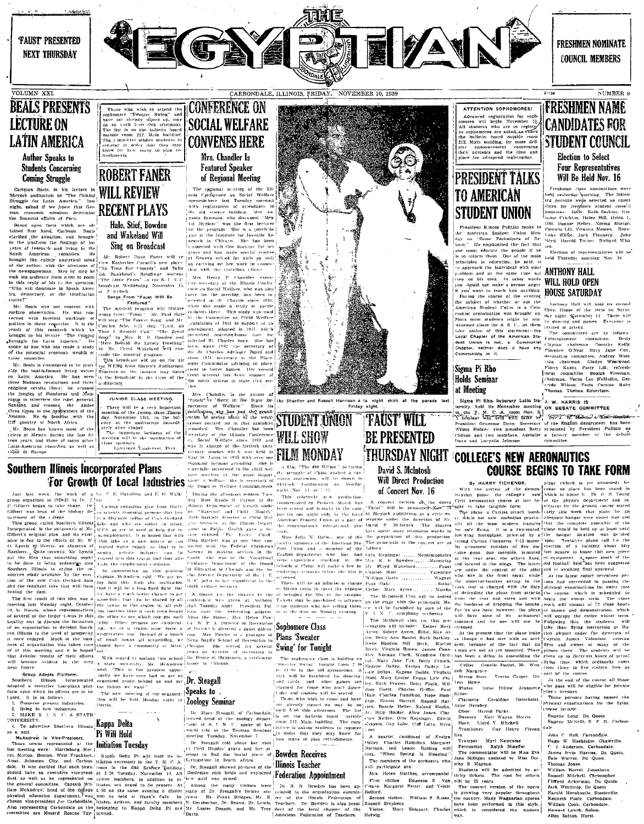



CARBONDALE, ILLINOIS, FRIDAY, NOVEMBER 10, 1939

**FRESHMEN NOMINATE COUNCIL MEMBERS** 

**FRESHMEN NAME** 

**CANDIDATES FOR** 

**STUDENT COUNCIL** 

**Election** to Select

**Four Representatives** 

Will Be Held Nov. 16

Ereshman class nominations were

 $[{\rm [Fe]aman \ class \ minimators were}] \label{eq:1} The system is a non-infty. The following, the fact that the target is a small distance, the target is a small position. The system is a small position. The system is a small position. The system is a 1/100. In the data, the system is 1/100. In the data, the system is less. By a 1/100. Let Figure 3.10s, 1/2/16. In the data, the system is 1/100. In the data, the system is 1/100. In the data, the system is 1/100. In the data, the system is 1/100. In the data, the system is 1/100. In the data, the system is 1/100. In the data, the system is 1/100$ 

NUMBER 8

## VOLUMN XXI. **BEALS PRESENTS LECTURE ON LATIN AMERICA Author Speaks to Students Concerning**

## **Coming Struggle**

The minimal mains at Peru.<br>
Hand first lined, Carleton Beals<br>
Lained first lined, Carleton Beals<br>
clarified the situation, and brought<br>
to the platform the findings of his-<br>
10. The platform the findings of the<br>
19218 of f

## **ROBERT FANER** Carleton Rack, in the lecture in WILL REVIEW Shroet and the State of Latin America," last WILL REVIEW Struggle for Latin America," last latin ( $\overline{RECENT}$  PLAYS) with the fundational electuring  $\overline{RECENT}$  PLAYS was consider Hale, Stief, Bowden

**Hale, Stief, Bowden**<br>
and Wakeland Will<br>  $\begin{bmatrix}\n\text{in } \mathbb{R} \\
\text{in } \mathbb{R} \\
\text{in } \mathbb{R} \\
\text{and } \mathbb{R} \\
\text{in } \mathbb{R} \\
\text{and } \mathbb{R} \\
\text{in } \mathbb{R} \\
\text{and } \mathbb{R} \\
\text{and } \mathbb{R} \\
\text{and } \mathbb{R} \\
\text{and } \mathbb{R} \\
\text{and } \mathbb{R} \\
\text{and } \mathbb{R} \\
\text{and } \mathbb{R} \\
\text{$ 

# Thus who wisk to strend the **CONFERENCE ON**<br>
schedules in the street street and **CONFERENCE ON**<br>
has so will find the only street and all the strength of the street of the street of the street of the street of the street o Mrs. Chandler Is **Featured Speaker**

of Regional Meeting

The regional meeting of the Hill-<br>nois Cynherence on Social Welfare<br>present-here has Tenslay morning with registration of attendants in<br>the old science buildings. Alter<br>number of the present state from the pair and the<br>num

is the platform the findaps of his platform in the same in the same in the platform of the platform of the same in Simple 1. The best in the same of the same in the same of the same of the same of the same of the same of

3. To advertise Southern Illinois, and the state of the state of the state of the state of the state of the state of the state of the state of the state of the state of the state of the state of the state of the state of



ATTENTION SOPHOMORES! ATTENTION SOPHOMORES<br>
Advanced registration for soph-<br>
advanced registration for soph-<br>
and students who are to regist<br>
a) as sophomores are asked.<br>
As a sophomore are stated.<br>
The multi-<br>
and multiple, for more defined<br>
t

## **PRESIDENT TALKS TO AMERICAN STUDENT UNION**

President Racon Publish space is the limit of the American Marcon, the American Suder in the form of the limit of the limit of the space. The end of the main of the control from the space of the main of the limit of the s President Rascon Pulliam spoke to

 $\begin{tabular}{|l|l|l|l|} \hline \textbf{Local Chapter of the American Stif.}\\ \hline search Union is not. & non-munit cell, 10000, 101000. & 1010000. & 1010000. \\ \hline \textbf{Chatter Infinite, data in the image.}\\ \hline \textbf{Commutate in the image.}\\ \hline \textbf{Sigma} & \textbf{P} & \textbf{Rho} & \textbf{P} & \textbf{Sinecc} & \textbf{O}'\textbf{NeI}, \\ \hline \textbf{Sigma} & \textbf{P} & \textbf{Rho} & \textbf{Sine} & \textbf{Sine} & \textbf{Sine}$ 

Southern Himsels incorporated Plans<br>
For Greenb Of Local Distance - FILM NOVIDAY | HUURSDAY NIGHT COLLEGES NEW MARRISE OF THE COLLEGES NEW AREA<br>
For Greenby Tot Colleges | Colleges | Colleges | Colleges | Colleges | Colleg John C Hall, Carnondale, Okawyille, Hugo W. Hasheider, Okawyille, C. 3. Anderson, Carbondale, James Fryn Harries. Du Quoin.<br>James Fryn Harries. Du Quoin.<br>Dale Warren. Du Quoin.<br>Thomas Jones. t nomas Jones.<br>William Horrel, Jonesboro.<br>Russell Mitchell, Christopher

Alten Sutton, Hurst.

Russell Michell, Christopher,<br>Clifford Ackennan, Du Quotn,<br>Jack Wintbrop, Du Quotn,<br>Harold Hornbostle, Steeleville,<br>Kenneth Poole, Carbondale,<br>William Cook, Carbondale,<br>Howard Lynch, Salem,<br>Alter Sutton, Hyret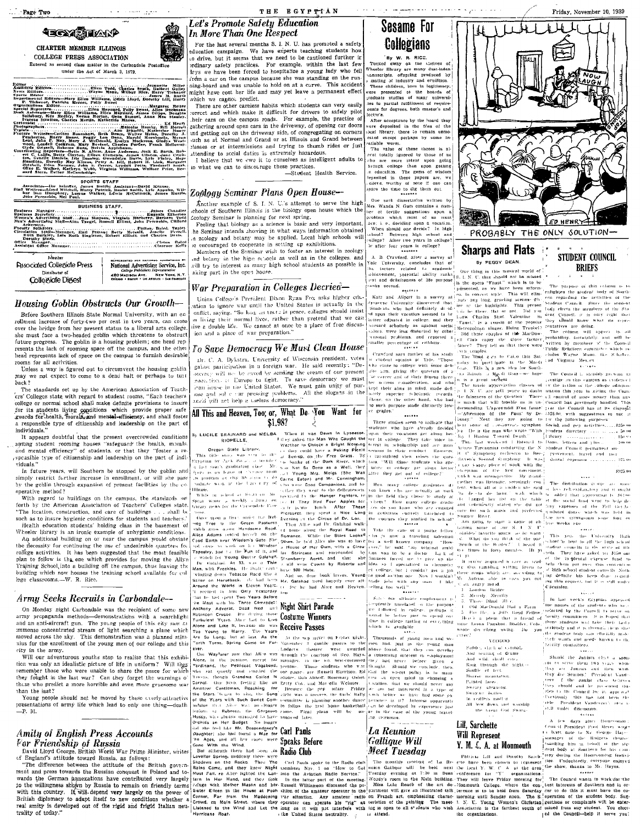| - Page Two                                                                                                                                                                                                                                                                                                                                                                                                                                                                                                                                                                                                                                                                   |                                                                                                     |
|------------------------------------------------------------------------------------------------------------------------------------------------------------------------------------------------------------------------------------------------------------------------------------------------------------------------------------------------------------------------------------------------------------------------------------------------------------------------------------------------------------------------------------------------------------------------------------------------------------------------------------------------------------------------------|-----------------------------------------------------------------------------------------------------|
| <b>SIERALP</b><br>CHARTER MEMBER ILLINOIS<br>COLLEGE PRESS ASSOCIATION<br>Entered as second class matter in the Carbondale Postoffice<br>under the Act of March 3, 1879.                                                                                                                                                                                                                                                                                                                                                                                                                                                                                                     | Le.<br>In<br>F<br>edu<br>ιO ε<br><b>ordi</b><br>le y                                                |
| Eller Tood, Garner, Chapter Miller Tood, Charles Miller Tood, Chapter Could, Harbert Guiler, The State South, The State State State State State State State State State State State State State State State State State State<br>F. Tichenor, Patricia Mercer, Polly Sweet<br>Salisbury, Ken Medley, Norma Morton, Gene Samuel, Anna Mae Stauley.<br>Ivarene Stratton, Charles Martin, Kutherine Mhace.<br>Controller and the Meridian Marian Controller and the Controller and the Controller and the Controller and the Controller and the Controller and the Controller and the Controller and the Controller and the Controller and t<br>unrd Stern, Esther McCambridge. | irdi<br>ning<br>mig<br>whi<br>T<br>:ort<br>.hei<br>rath<br>ınd<br>auel<br>tlas<br>utte<br>I<br>in ' |
| <b>SPORTS STAFF</b>                                                                                                                                                                                                                                                                                                                                                                                                                                                                                                                                                                                                                                                          | Zo                                                                                                  |
| <b>BUSINESS STAFF.</b>                                                                                                                                                                                                                                                                                                                                                                                                                                                                                                                                                                                                                                                       | 1                                                                                                   |
| Ackermnn.<br>Ruth Barkley, Lels Ruth Singleton, Robert Elliott, and Charles Davis.                                                                                                                                                                                                                                                                                                                                                                                                                                                                                                                                                                                           | :ch<br>500<br>F<br>he                                                                               |
| Derathy Stark.<br>Baird<br>Cleton                                                                                                                                                                                                                                                                                                                                                                                                                                                                                                                                                                                                                                            | : ۵                                                                                                 |

Member **BEPRESENTED FOR NATIONAL ADVENTIOING BY**<br>National Advertising Service, Inc. **Passociated Collegiate Press** Thiereiburgen al ge Publishers Representative<br>1801: AVE. NEW YORK, N.Y<br>1911: L. Lot Marias . t.u. Francus 420 MA Collegiale Digest

## Housing Goblin Obstructs Our Growth-

Before Southern Illinois State Normal University, with an efrollment increase of forty-two per cent in two years, can cross over the bridge from her present status to a liberal arts college she must face a two-headed goblin which threatens to obstruct<br>future progress. The goblin is a housing problem; one head represents the lack of rooming space off the campus, and the other<br>head represents lack of space on the campus to furnish desirable

rooms for all activities.<br>
Unless a way is figured out to circumvent the housing goblin  $\ldots$  ,  $\ldots$  ,  $\ldots$  ,  $\ldots$  , as agured out to circumvent the housing goblin may we not expect to come to a dead halt or perhaps to turn back?

The standards set up by the American Association of Teach-<br>ers' Colleges state with regard to student rooms, "Each teachers college or normal school shall make definite provisions to insure<br>for its students living conditions which provide proper safe<br>guards for health, morals, and mental efficiency, and shall foster a responsible type of citizenship and leadership on the part of individuals."

It appears doubtful that the present overcrowded conditions aptong student rooming houses "safeguard the health, morals and mental efficiency" of students, or that they "foster a re-, speasible type of citizenship and leadership on the part of indi

In future years, will Southern be stopped by the goblin and simply restrict further increase in enrollment, or will she pass by the goblin through expansion of present facilities by the cooperative method?

With regard to buildings on the campus, the standards set forth by the American Association of Teachers' Colleges state. "The location, construction, and care of buildings... shall be such as to insure hygienic conditions for students and teachers.

Health education students' holding class in the basement of Wheeler library is an ironic example of unhygienic conditions.<br>An additional building on or near the campus would obviate the necessity for continuing the use of undestrable quarters for the necessity for continuing the use of undestrable quarters for college activities. It has been suggested that the most feasible plan to follow is the one w building which now houses the training school available for col-<br>lege classrooms.--W. R. Rice.

## Army Seeks Recruits in Carbondale--

On Monday night Carbondale was the recipient of some new army propaganda methods—demonstrations with a searchlight<br>and an anti-aircraft gun. The young people of this city saw at immense concentrated stream of light searching a plane which moved across the sky. This demonstration was a planned stimtilus for the enrollment of the young men of our college and this in the army. city

Will our adventurous youths stop to realize that this exhibifrom was only an idealistic picture of life in uniform? Will have remember those who were unable to share the peace for which they fought in the last war? Can they forget the warnings of those who predict a more horrible and even more gruesome war than the last?

Young people should not be moved by these overly-attractive presentations of army life which lead to only one thing-death. -е. м.

## l's Promote Safety Education More Than One Respect

or the last several months S. I. N. U. has promoted a safety eation campaign. We have experts teaching students how<br>drive, but it seems that we need to be cautioned further in minery safety practices. For example, within the last few<br>inary safety practices. For example, within the last few<br>s we have been forced to hospitalize a young lady who fel or the carrot the campus because she was standing on the run.<br>The car on the campus because she was standing on the run. ht have cost her life and may yet leave a permanent effect ch we cannot predict.

THE EGYPTIAN

here are other careless habits which students can very easily rect and which make it difficult for drivers to safely pilot extra an on the campus roads. For example, the practice of<br>hering around open cars in the driveway, of opening car doors getting out on the driveway side, of congregating on corners<br>h as at Normal and Grand or at Illinois and Grand between ses or at intermissions and trying to thumb rides or just ending to social duties is extremely hazardous.

believe that we ewe it to curselves as intelligent adults to what we can to discourage these practices. Se praesises.<br>
Student Health Service.

## plogy Seminar Plans Open House—

.<br>Incther example of S. I. N. U.'s attempt to serve the high gols of Southern Illinois is the biology open house which the

some or someoner is planning for next spring.<br>'ogly Seminar is planning for next spring.<br>'celing that biology as a science is basic and very important Seminar intends showing in what ways information obtained zcology and botany may be applied. Local high schools will solutions of the Seminar wish to foster an interest in zoology<br>Members of the Seminar wish to foster an interest in zoology

and became in the high schools as well as in the colleges, and<br>will try to interest as many high school students as possible in

Assembt in the open base mean solutions as possible in the Concert control of the control of the control of the control of the control of the control of the control of the control of the control of the control of the cont

 $\begin{minipage}[t]{0.99\textwidth} \begin{minipage}[t]{0.99\textwidth} \begin{minipage}[t]{0.99\textwidth} \begin{minipage}[t]{0.99\textwidth} \begin{minipage}[t]{0.99\textwidth} \begin{minipage}[t]{0.99\textwidth} \begin{minipage}[t]{0.99\textwidth} \begin{minipage}[t]{0.99\textwidth} \begin{minipage}[t]{0.99\textwidth} \begin{minipage}[t]{0.99\textwidth} \begin{minipage}[t]{0.99\textwidth} \begin{minipage}[t]{0.99\textwidth} \begin{minipage}[t]{0.99\textwidth$ 



By W. R. RICE.<br>Tucked away on the sheives of<br>Wheeler library are many dust-laden Wheeler library are many durindent in<br>the value of the value of the stationary and erudinosity and the These children, born in legitimacy, were<br>presented to the boards of the control of the boards of many university<br>and t

After acceptance by the hoard they were deposited in the files of the<br>socal library, there to remain unmoested except perhaps by some inmitable worm chapte worm.<br>The value of these theses is al-

The value of these theses is allowed the context costally ignored by those of us<br>calculated by those of us<br>above recept is also are more pitter in an application. The general upon getting<br>in education. The general of windo One such dissertation written by

Mrs. Wanda N. Gum contains a num Mes. Wanda N Gum contains a num<br>ne polem which mest contain a number of tertile suggestions upon a<br>next contain which mest of un must<br>acceliate a number of the simulation of the simulation<br>when should one decide? In high<br>a

A. B. Crawford, aller a survey at National Chiversity, concludes that of the tactors related to academic distribution to the tactors related to academic distribution of the tactors of the set of the set of the set of the s

Except by content on the fact of the same of the same in the same of the same in the first method of the first end in the same of the same in the first scale of the same of the same of the same in the same of the same of

*CD* WENR STUDENT COUNCIL

Friday, November 10, 1939



PROBABLY THE ONLY SOLUTION

## **Sharps and Flats** By PEGGY DEAN.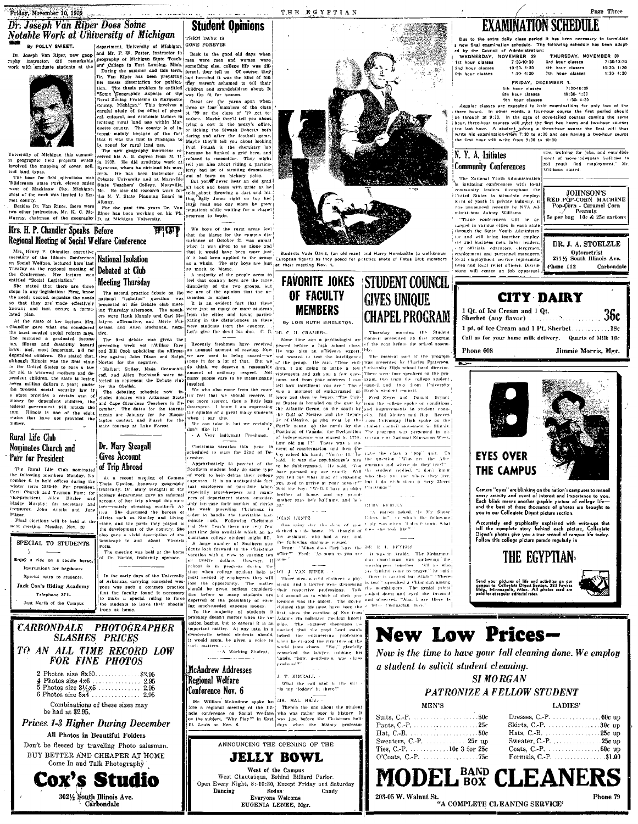## **Dr. Joseph Van Riper Does Some** Notable Work at University of Michigan



## Mrs. H. P. Chandler Speaks Before Regional Meeting of Social Welfare Conference

Fig. 16 and 16 and 16 and 16 and 16 and 16 and 16 and 16 and 16 and 16 and 16 and 16 and 16 and 16 and 16 and 16 and 16 and 16 and 16 and 16 and 16 and 16 and 16 and 16 and 16 and 16 and 16 and 16 and 16 and 16 and 16 and

so that they are made effectively

| SPECIAL TO STUDENTS             |  |  |
|---------------------------------|--|--|
| ٩                               |  |  |
| Enjoy a ride on a caddle horse. |  |  |
| Instructions for beginners      |  |  |
| Special rates to students,      |  |  |
| Jack Cox's Riding Academy       |  |  |
| Telephone 371L                  |  |  |
| ċ<br>Just North of the Campus   |  |  |
|                                 |  |  |



| <b>FOR FINE PHOTOS</b>                               |
|------------------------------------------------------|
| 2 Photos size 8x10\$2,95                             |
| Combinations of these sizes may<br>be had at \$2.95. |

**Prices 1-3 Higher During December** All Photos in Beautiful Folders

Don't be fleeced by traveling Photo salesman. BUY BETTER AND CHEAPER AT HOME

Come In and Talk Photography **Cox's Studio** 3021/2 South Illinois Ave. Carbondale

# **Student Opinions**

THEM DAYS IS

**Notable Work at University of Michigan**<br>
By POLLY SWEET.<br>
The past meant of Michigan context the reason of Michigan context interests of Michigan context interests in the context of the past interests of the set of the s

**Ballist** We hoys of the rurat areas feel that the blame for the campus dis-

Figure Conference<br>
Mational Isolation<br>
National Isolation<br>
National Isolation<br>
National Isolation<br>
National Isolation<br>
National Isolation<br>
National Isolation<br>
National Isolation<br>
National Isolation<br>
National Isolation<br>
Nat

www.cometers.cometers.com<br>-- A Working Student.<br>-- A Working Student. remarked the lawyer, rubbing his<br>"iands, "how, gentlemen, was chaos produced?'

## **McAndrew Addresses** Regional Welfare Conference Nov. 6

MR. HAL HALL Mr. William McAndrew spoke be-**EXECUTE:** The animal measure we were the set of the Bill-<br>
There's the one about the student<br>
nois conference on Social Welfare who was rather poor in bistory<br>
on the subject, "Why Play?" in East was just before the Clai

J. T. KIMBALL

What the call said to the  $\mathfrak{sl}(\cdot)$  "Is my 'fodder' in the<br>re?"

## ANNOUNCING THE OPENING OF THE

**JELLY BOWL** West of the Campus West Chautangua, Behind Billiard Parlor.<br>Open Every Night, 8:-10:30, Except Friday and Saturday Sodas<br>Everyone Welcome Dancing Candy EUGENIA LENEE, Mgr.



**STARK** 

.<br>European figure) as they posed for practice shots of Fotos Club members<br>at their meeting Nov. 1,

OF FACULTY

THE ECYPTIAN

# **GIVES UNIQUE**

## **EXAMINATION SCHEDULE**

Due to the extra daily class period it has been necessary to for<br>new final examination schedule. The following schedule has been<br>I by the Council of Administration: ed by the Council of Administration<br>WEDNESDAY, NOVEMBER 29<br>1st hour classes 7:30-10:30 THURSDAY, NOVEMBER 30

Srd hour classes<br>4th hour classes 7:30-10:30 classes  $10:30 - 1:30$ 10:30-1:30 2nd hour cienco<br>6th hour classes 1:30-4:30 7th hour classes  $1:30-4:30$ FRIDAY, DECEMBER 1.<br>hour classes 7:30-10:30

Page Three

5th hour classes<br>8th hour classes<br>9th hour classes 7:30-10:30<br>10:30-1:30<br>1:30-4:30

Regular classes are expected to hold examinations for only two of the three hours. In other words, a four-hour course the first period should be through at 9:30. In the case of dovestilled courses coming the same hour thr

## N. Y. A. Initiates **Community Conferences**

.<br>The National Youth Administratio The National Youth Administration<br>is initiating conferences with lo-al<br>community leaders throughout the<br>l'uited States to stimulate omploy-<br>nunt of youth in private industry. It was announced recently by NYA Admistatrator Aubrey Williams.

ministrator atmospherical contenents will be an<br>impact in various clies in each state<br>through the Sutte Youth Administration<br>for and will bring together employ-<br>(i.e. and business une, labor ieaders) esty officials, educators, clergymen<br>employment and personnel managers

local employment service representatives and local relief officers. Discus

sions will center on job opportuni-

DR. J. A. STOELZLE Optometrist<br>211 $\frac{1}{2}$  South Illinois Ave. Phone 112 Carbondale

ties, training for jobs, and establish and the community of the contract factories to<br>planet of more adequate facilities to<br>pid youth find employment," Mr.<br>Williams stated.

JOHNSON'S **RED POLCORN MACHINE**<br>Pop-Corn - Caramel Corn<br>Se per bag 10c & 25c cartons





## PATRONIZE A FELLOW STUDENT

MENIO

| ---------                                             |  |
|-------------------------------------------------------|--|
|                                                       |  |
| Skirts, C. P. $\dots \dots \dots \dots \dots 30c$ up  |  |
|                                                       |  |
|                                                       |  |
| Coats, C.-P. $\dots \dots \dots \dots \dots 60c$ up   |  |
| Formals, C.-P. $\dots \dots \dots \dots \dots$ \$1.00 |  |
|                                                       |  |



**LADIDO** 

# **MEMBERS**

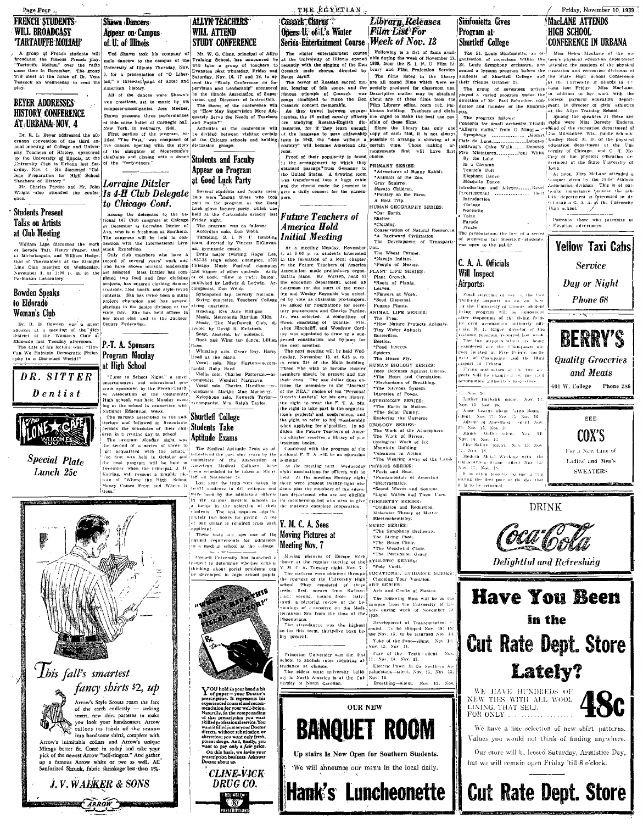Page Four **FRENCH STUDENTS** 

## **WILL BROADCAST TARTAUFFE MOLIAU**

A group of French students will broadcast the famous French play, "Tartautic Moltsu," over the radio tome time in December. The group will meet at the home of Dr. Vera Ted Shawn took his company male dancers to the campus of the University of Illinois Thursday, Nov. 9. for a presentation of "O Liberjad," a three-act anga of Aztec and Peacock on Wednesday to read the .<br>American history All of the dances were Shawn's

## **BEYER ADDRESSES HISTORY CONFERENCE** AT URBANA NOV. 4

Somewheat are better and Puplis?"<br>
Serve the Needs of Teachers of this same hallet at Carangie and, and Puplis?"<br>
New York, in February, 1940. Activities at the conformer will it<br>is the Carangie and Servers of the program Dr. R. L. Royan addressed the off-Dr. R. L. Boyr addressed the aft-<br>crime of the diffusion convention on convention of college and third<br>will result in the state of college and the state is<br> $\mathbf{u}$  and the state of the state of the state of the<br>crime of t are dances, opening with the story<br>of the slaughter of Montezuma's<br>chieftains and closing with a dance<br>of the "forty-niners."

Lorraine Ditzler Mr. Cherles Pardee and Mr. John Wright also attended the confer **Is 4 H Club Delegate** 

# **Students Present**

Students Present and Minister and Minister and the content and the latter of the set that the content is the set of the latter of the based of the set of the set of the set of the set of the set of the set of the set of t

to Eldorado Woman's Club

Dr. R. D. Bowden was a meet<br>
Speaker at a meeting of the 44th<br>
destrict of the Woman's Club af<br>
destrict of the Woman's Club af<br>
Fidencie basis Theodory afternoon.<br>
The title of his lecture was: "How<br>
Can We Maintain Democ

DR. SITTER  $D$  entist



## **Special Plate** Lunch 25c

This fall's smartest

V.

fancy shirts \$2, up

Arrow's Style Scouts roam the face

of the earth endlessly - secking smart, new shirt patterns to make<br>you look your handsomest. Arrow

tailors its finds of the season

into handsome shirts, complete with

Arrow's inimitable collars and Arrow's unique Miroga better fit. Come in today and take your<br>pick of the newest Arrow "bell-ringers." And gather

a famous Arrow white or two as well. All<br>inforized Shrunk, fabric shrinkage less than 1%.

J.V. WALKER & SONS

**ARROW** 



Shawn Dancers

of U. of Illinois

Annear on Campus

own creations, set to injusic by his composer-accompanist, Jess Meeker,

Shawn presents three performances

to Chicago Conf.

Note that the Pattern of the Pattern of the Control of the Control of the Control of the Control of the Control of the Control of the Control of the Control of the Control of the Control of the Street of Street Control of project champion and has several placings in the juntor division of the placings in the junior division of the<br>right fair. She has held offices in<br>her local club and in the Jackson<br>County Federation.

# P.-T. A. Sponsors

 $\begin{tabular}{l|c|c|c|c} \hline \multicolumn{1}{c}{\textbf{if High School}} & \multicolumn{1}{c}{[Wist}(l) is $ & $M$-partial. \begin{tabular}{ll} \multicolumn{1}{c}{\textbf{if High School}}\\ \hline & \multicolumn{1}{c}{\textbf{if High School}}\\ & \multicolumn{1}{c}{\textbf{if String of the plano.}}\\ & \multicolumn{1}{c}{\textbf{if String of the plano.}}\\ \hline & \multicolumn{1}{c}{\textbf{if String of the plano.}}\\ \hline & \multicolumn{1}{c}{\textbf{if String of the Planck} \\ \hline & \multicolumn{1}{c}{\$ 

 $\begin{array}{c}\n\text{true} \\
\text{Yoney} \\
\text{Goes.}\n\end{array}$ 

Fug at the school in connection whis<br>
[National Education Wext Connection whis  $\sum_{k=1}^{\infty} \frac{1}{k}$  (The parents assembled in the number of the school of the school of the school of the school of the school of the part a

mately two hours for giving

policant pposent. These tests are now one of the Moving Pictures at these rests are now one or to<br>portual requirements for admission<br>to a medical school at the college.

Cornell University has haunched a<br>broaded to determine whether critical<br>distributing about social problems can<br>be developed in high school pupils.



 $\bf Y$ OU hold in your hand a bit<br>prescription. It represents his experienced counsel and accommission for<br>example in the distribution of the compounding state and the compounding<br>of the represented of the compounding state aleration; you want only trests,<br>potent drugs. And, finally, you<br>want to pay only a *fair* price.<br>On this hasis, we invite your<br>prescription business. Askyour<br>Doctor about us.

**CLINE-VICK** DRUG CO.

THE EGYPTIAN **ALLYN TEACHERS Cossack Charas STUDY CONFERENCE** Mr. W. G. Cisne, principal of Allyn<br>Training School, bas announced he<br>will take a group of tonchers to<br>Evanston next Thursday, Friday and

**WILL ATTEND** 

Saturday. Nov. 16, 17 and 18, to at tend the "Study Conference on Su-

pervision and Lendership" sponsore

by the Illinois Association of Supe by the illinois Association of Super<br>vision and Directors of Instruction.<br>The theme of the conference will<br>be "How May Supervision More Ade"<br>quately Serve the Needs of Teacher<br>and Pupils?"

**Students and Faculty** 

Appear on Program at Good Luck Party

Several streets and faculty members were among those who took part in the program at the Good

nck glove factory party, which

Onens U. of L's Winter Series Entertainment Course Week of Nov. 13

The winter entertainment course  $\blacksquare$ <br>The victor entertainment course  $\blacksquare$ <br>
at the University of Illinois opened able distring the weak of Norsman 134<br>
recently with the singling of the Don 1839, from the S, I. N. U. F Cosakck male chorus, directed by  $\mu$  and  $\mu$  films interd in the Service Serge Jaroff.<br>
Surge Jaroff. The films of the set of the served man-<br>  $\mu$  and  $\mu$  and  $\mu$  and  $\mu$  and  $\mu$  and  $\mu$  with  $\mu$ <br>  $\sigma$  in the ser

Proof of their popularity is found dietoe.<br>
In the arrangement by which they present and the strain of the strain of the strain of the bilited States. A drawing room  $\star$  Animals of the Zoo.<br>
the United States. A drawing give a daily concert for the passen .<br>Bera

## **Future Teachers of America Hold Initial Meeting**

Free transfer and the mediate and the state of the state of the state of the Faure Theorem and the Faure Theorem and the property of the Faure Theorem and the endemonion of a beat of the endemonion of the state of the stat continuan for the start of the meet-<br>ing and Wester Reynolds was sieded of by vote as chairman pro-tempora.<br>He asked to: nominations for security pro-tempora and Charles Parcies.<br>Inty pro-tempora and Charles Parcies.<br>Jr., ay was appointed to draw up a sug<mark>.</mark><br>gested constitution and by-laws for the next meeting. The next meeting will be held Wed

The next meeting will be held Wed-<br>recently in Fig. at 6,45 p. m.<br>in room 214 of the Mini building.<br>Those who wish to become charter<br>terminers should be present and pay)<br>their dross. The one dollar dues en-<br>titles the mem of the ESSA, choice of the own library<br>the right to wear the F. T. A. plu<br>the right to take part in the organiza the right to take part in the organiza-<br>
(on's projects' and conferences, and<br>
the right to refer to his mombership<br>
when applying for a' position. In addition, the Puture Teachers of America<br>
cut chapter receives a libra

Combined with the program of the<br>notional F. T. A .will be an education of seminar.

Therember when the principal, J. H. American Medical Collegers, here at Shart- and Mercury and Heating SERIES:<br>
[sering, will present a graphic pictom scheme at Shart- and Heating Medical to be taken at Shart- and Heat of<br> At the meeting next Wednesday PHYSICS SERIES:

of one dollar is required from each  $Y.$  M, C, A, Sees

# Meeting Nov. 7

Maxim pletures of Europe were The Percussion Gran, Navim pletures of Europe were The Percussion Gran, V. M. C. A. Tuesday night, New 7. Pole Vault.<br>
The intetimes were obtained through VOCATIONAL. GUIANCE SERIES:<br>
The int

Princeton University was the first Princeton University was the first<br>reloci to abolish rules requiring at-<br>relocations at classes.<br>The pidest state militersity build-<br> $\pi$  in North America is at the University of North Carolina.

Library, Releases | Film List For

sic, longing of tok somes, and the peculity produced for clusteroon uso. This is the some scontinuous criterial of Consack war Descriptive matter may be obtained consack consect memorials. Case they trevel between engage-

Gray Squirrel.<br>Navajo Children \*Pouttry on the Farm A Boat Trip. IUMAN GEOGRAPHY SERIES: Shelter.<br>\*Clothing. Conservation of Natural Res<br>\*A Backward Civilization. The Development of Transport on.<br>The Wheat Farmer.<br>\*Navajo Indians.<br>\*People of Mexico. PLANT LIFE SERIES:<br>Plant Growth. \*Roots of Plants

Theorem Plants.<br>Leaves.<br>\*Flowers at Work<br>\*Seed Dispersal.<br>Fungus Plants. **NUMAL LIFE SERIES:** 

The Freg.<br>The Freg.<br>\*How Nature Protects Animals

"How wature Protection"<br>Tiny Water Animals<br>Betterflies.<br>Pond Insects. Spiders.<br>The House Fly. The House Fig.<br>
HUMN BIOLOGY SERIES:<br>
Body Defenses Against Diseas-<br>
The Heart and Circulation.<br>
"Mechanisms of Breathing.<br>
The Nervous System. Digestion of Foods. Explored at Four-<br>Fine Earth in Motion.<br>"The Solar Family,<br>Exploring the Universe.

Explored The Universe.<br>
Explored SERIES:<br>
The Work of the Atmosphere.<br>
The Work of Rivers,<br>
Upological Work of Ree.<br>
Monutain Bulking.<br>
Victorios in Action.<br>
The Weating Away of the L.<br>
The Weating Away of the L.<br>
The Weat

"Press SERIES:<br>"Fandamentals of Acoustics.<br>"Fundamentals of Acoustics.<br>"Electrostatics.<br>"Sound Waves and Sources.<br>"Light Waves and Their Uses

COMBALA C SERIES:<br>"Oxidation and Reduction.<br>Melecular Theory of Matter.<br>Electrochemistry. MUSIC SERIES: \*The Symphony Orchestra The String Choir **\*The Brass Choir** 

"The Brass Covers"<br>"The Woodwind Choir.<br>"The Percussion Group

Development of Transportation -<br>sound. To be shipped Nov. 19: for<br>use Nov. 13: to be returned Nov. 14 Yoke of the Past-silent. Nov. 10.<br>Nov. 13; Nov. 14.

Care of the Teeth-sitent. Nov. 11: Nov. 14: Nov. 15. Electric Power in the Southern Esecute Power in the Southern Applemental Data<br>palachians—silent, Nov. 13, Nov. 15, Nov. 16, Breathing—silent, Nov. 15, Nov.

**OUR NEW** 

**BANQUET ROOM** 

Up stairs Is Now Open for Southern Students.

We will announce our menu in the local daily.

Hank's Luncheonette

Friday, November 10, 1939 Simfonietta Gives MacLANE ATTENDS Program at HIGH SCHOOL Shurtleff College **CONFERENCE IN URBANA SHIFTICHE LOREGE CONFIGUATION CONTROLL IN UNBERVALUE TO THE ST. LOOD SIMURE IN THE STATE IS an Explicit Loop of STATE LOREGE AND SYSTEM STATE IS a location of the physical state late of the state late of the state of the** Cierus of cancago, and C. H. Me.<br>Cier of the physical education de-<br>purtment at the State University of By the Lake  $\begin{tabular}{ll} \hline \texttt{By the Lake} & \texttt{Pint} \\ \hline \texttt{By the Lake} \\ \hline \texttt{Heptant, Danc} & \texttt{lowu}, \texttt{Mis and the Student model} \\ \hline \texttt{Hepbant, Danc} & \texttt{low} \\ \hline \texttt{Mspant} \\ \hline \texttt{Mspant} & \texttt{Mis, input after by the Gil-*i* (a) the full' Ahtelic-*i* (b) the final function. This is of particular in the *i* (b) the *ii* (c) the *iii* (d) the *iii*$ By the Lake<br>In a Cavaran Nocturne<br>Valse Parade Finale Finale<br>The presentation, the first of a series<br>of programs for ShurileC+ students<br>was open to the public. C. A. A. Officials Will Inspect Airports: For the internal of the dying fields is a subsection of the dying fields is also M. L. Eugent, direct or of the basis Al. L. Eugent, directed or the Changing internal considered are the Changing internal considered are th 13. Nav. 16.<br>
14. Nav. 16.<br>
14. Nav. 16.<br>
14. Nav. 16.<br>
14. Nav. 16.<br>
14. Nav. 16.<br>
14. Nav. 16. Nav. 16. Nav. 16.<br>
14. Mater – May 17. Nev. 16.<br>
14. Nav. 16. Nav. 17.<br>
15. Nav. 16. Nav. 17.<br>
15. Nav. 17.<br>
15. Nav. 17.<br>
17





We have a fine selection of new shirt patterns. Values you would not think of finding anywhere.

Our store will be leosed Saturday, Armistice Day, but we will remain open Friday 'till 8 o'clock.

**Cut Rate Dept. Store** 





**BERRY'S Quality Groceries** and Meats 601 W. College - Phone 286 **SEE** 

COX'S For a New Line of Ladies' and Men's

**SWEATERS** 

Final selection of one The structure of the state of the state of the Chirenesty of Himois' state<br>of the Chirenesty of Himois' state<br>fiving program will be announced<br>fiter inspection of the Alying Belds

Syaretylene Flame -silent Nuv<br>.58, 17, Nov, 18, it is otten possible to use











 $\frac{1}{\text{The}}$ 

attendance was the highes so far this term, thirty-five boys be

-19

**RELIABLE**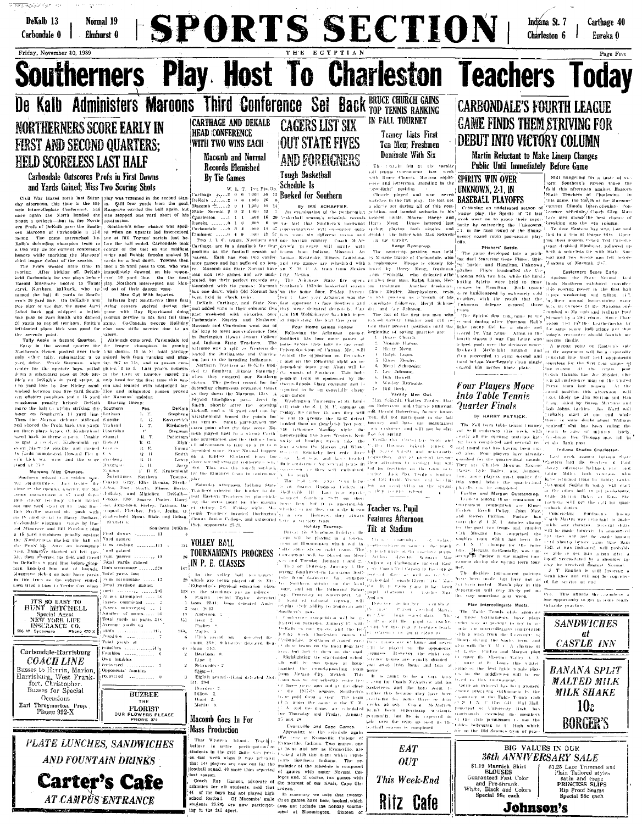

 $\begin{tabular}{|c|c|c|c|c|} \hline & \multicolumn{3}{|c|}{\textbf{I} \textbf{R8888}} & \multicolumn{3}{|c|}{\textbf{C} \textbf{R8888}} & \multicolumn{3}{|c|}{\textbf{C} \textbf{R888}} & \multicolumn{3}{|c|}{\textbf{C} \textbf{R888}} & \multicolumn{3}{|c|}{\textbf{C} \textbf{R888}} & \multicolumn{3}{|c|}{\textbf{C} \textbf{R888}} & \multicolumn{3}{|c|}{\textbf{C} \textbf{R888}} & \multicolumn{3}{$ Carbondale-Harrisburg | Foundes Own tambles **COACH LINE nstovere** Busses to Herrin, Marion,<br>Harrisburg, West Frank-<br>fort, Christopher. Opponents' fumbles remement Busses for Special Occasions

Earl Throgmorton, Prop.<br>Phone 992-X **FLORIST** OUR FLOWERS P **PLATE LUNCHES, SANDWICHES AND FOUNTAIN DRINKS** 

 $\ldots$  . . . . . . . . . 0

**BUZBEE** 

**Carter's Cafe** AT CAMPUS ENTRANCE

Fifth period Str cuant. 26-8; Schraeder deceated Bea- $\rm{char}\, 14.5$ 

Beacham 0. Lipe +2.<br>Schroeder+ 2

sgigg — ).<br>Eighth period - Hand defeated Mol- $Hearden-2$ 

Dilloy Hand 2.<br>Moftiu b Macomb Goes In For

## **Mass Production**

**MASS Production**<br>
The vector in the set of the case of the case of the set of the set of the<br>
That Western Idium. The left year is Franchised in the relations of<br>
International conduction in the relations of the set of t

| $\mathbf{1}$ | Bruce Church,       |
|--------------|---------------------|
|              | 2. Montoe Haege,    |
|              | 2. Horry Mong,      |
|              | 1 Rulph Ligon.      |
|              | 5 Elmer Zieghn,     |
|              | 6. Merr1 Schroeder. |
|              | 7. Lee Johnson.     |
|              | 8. Dott Howell.     |
|              | 9 Wesley Reynolds.  |
|              | o Bill Bock         |

**CASTLE INN BANANA SPLIT MALTED MILK MILK SHAKE**  $10c$ **BORGER'S** 

**EAT** BI<sub>0</sub>  $36th$  AN **OUT** SI.19 Mannish<br>BLOUSES<br>Guaranteed Fast<br>and Pre-Shrun<br>White, Black and<br>Special 98c ea This Week-End Ritz Cafe Johnson's





|              | 3 VALUES IN OUR                                 |  |
|--------------|-------------------------------------------------|--|
|              | <i><b>INIVERSARY SALE</b></i>                   |  |
| Shirt        | 81.25 Lace Trimmed and<br>Plain Tailored styles |  |
| Color<br>ık. | satin and crepe<br>PRINCESS SLIPS               |  |
| Colors<br>ch | Rip Proof Seams<br>Special 98c each             |  |
|              |                                                 |  |